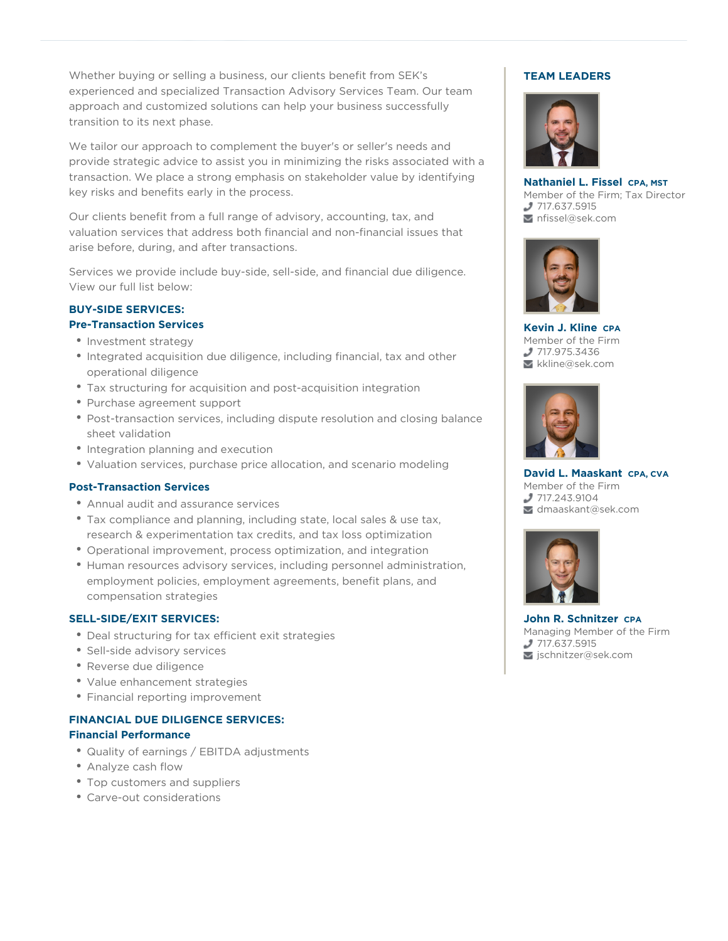approach and customized solutions can help your business successfully<br>transition to its next phase. Whether buying or selling a business, our clients benefit from SEK's experienced and specialized Transaction Advisory Services Team. Our team transition to its next phase.

We tailor our approach to complement the buyer's or seller's needs and provide strategic advice to assist you in minimizing the risks associated with a transaction. We place a strong emphasis on stakeholder value by identifying key risks and benefits early in the process.

Our clients benefit from a full range of advisory, accounting, tax, and valuation services that address both financial and non-financial issues that arise before, during, and after transactions.

Services we provide include buy-side, sell-side, and financial due diligence. View our full list below:

#### **BUY-SIDE SERVICES: Pre-Transaction Services**

- Investment strategy
- Integrated acquisition due diligence, including financial, tax and other operational diligence
- Tax structuring for acquisition and post-acquisition integration
- Purchase agreement support
- Post-transaction services, including dispute resolution and closing balance sheet validation
- Integration planning and execution
- Valuation services, purchase price allocation, and scenario modeling

### **Post-Transaction Services**

- Annual audit and assurance services
- Tax compliance and planning, including state, local sales & use tax, research & experimentation tax credits, and tax loss optimization
- Operational improvement, process optimization, and integration
- Human resources advisory services, including personnel administration, employment policies, employment agreements, benefit plans, and compensation strategies

### **SELL-SIDE/EXIT SERVICES:**

- Deal structuring for tax efficient exit strategies
- Sell-side advisory services
- Reverse due diligence
- Value enhancement strategies
- Financial reporting improvement

# **FINANCIAL DUE DILIGENCE SERVICES: Financial Performance**

- Quality of earnings / EBITDA adjustments
- Analyze cash flow
- Top customers and suppliers
- Carve-out considerations

## **TEAM LEADERS**



**Nathaniel L. Fissel CPA, MST** Member of the Firm; Tax Director 717.637.5915 nfissel@sek.com



**Kevin J. Kline CPA** Member of the Firm 717.975.3436 kkline@sek.com



**David L. Maaskant CPA, CVA** Member of the Firm 717.243.9104 dmaaskant@sek.com



**John R. Schnitzer CPA** Managing Member of the Firm 717.637.5915 jschnitzer@sek.com